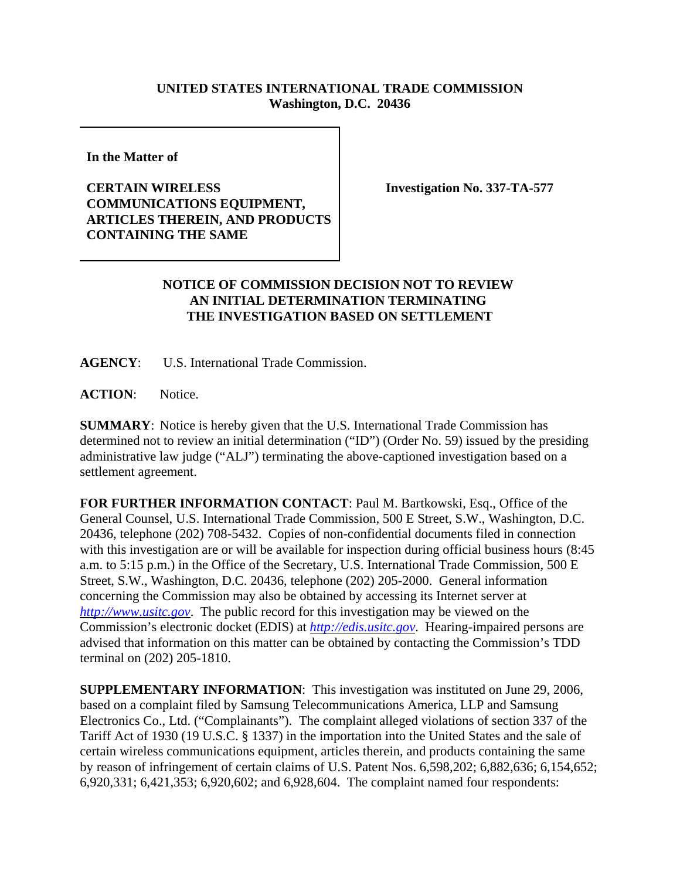## **UNITED STATES INTERNATIONAL TRADE COMMISSION Washington, D.C. 20436**

**In the Matter of** 

## **CERTAIN WIRELESS COMMUNICATIONS EQUIPMENT, ARTICLES THEREIN, AND PRODUCTS CONTAINING THE SAME**

**Investigation No. 337-TA-577**

## **NOTICE OF COMMISSION DECISION NOT TO REVIEW AN INITIAL DETERMINATION TERMINATING THE INVESTIGATION BASED ON SETTLEMENT**

**AGENCY**: U.S. International Trade Commission.

ACTION: Notice.

**SUMMARY**: Notice is hereby given that the U.S. International Trade Commission has determined not to review an initial determination ("ID") (Order No. 59) issued by the presiding administrative law judge ("ALJ") terminating the above-captioned investigation based on a settlement agreement.

**FOR FURTHER INFORMATION CONTACT**: Paul M. Bartkowski, Esq., Office of the General Counsel, U.S. International Trade Commission, 500 E Street, S.W., Washington, D.C. 20436, telephone (202) 708-5432. Copies of non-confidential documents filed in connection with this investigation are or will be available for inspection during official business hours (8:45 a.m. to 5:15 p.m.) in the Office of the Secretary, U.S. International Trade Commission, 500 E Street, S.W., Washington, D.C. 20436, telephone (202) 205-2000. General information concerning the Commission may also be obtained by accessing its Internet server at *http://www.usitc.gov*. The public record for this investigation may be viewed on the Commission's electronic docket (EDIS) at *http://edis.usitc.gov*. Hearing-impaired persons are advised that information on this matter can be obtained by contacting the Commission's TDD terminal on (202) 205-1810.

**SUPPLEMENTARY INFORMATION**: This investigation was instituted on June 29, 2006, based on a complaint filed by Samsung Telecommunications America, LLP and Samsung Electronics Co., Ltd. ("Complainants"). The complaint alleged violations of section 337 of the Tariff Act of 1930 (19 U.S.C. § 1337) in the importation into the United States and the sale of certain wireless communications equipment, articles therein, and products containing the same by reason of infringement of certain claims of U.S. Patent Nos. 6,598,202; 6,882,636; 6,154,652; 6,920,331; 6,421,353; 6,920,602; and 6,928,604. The complaint named four respondents: